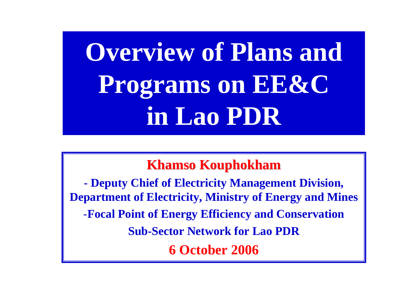# **Overview of Plans and Programs on EE&C in Lao PDR**

#### **Khamso Kouphokham Kouphokham**

**- Deputy Chief of Electricity Management Division, Department of Electricity, Ministry of Energy and Mines** -**Focal Point of Energy Efficiency and Conservation Sub-Sector Network for Lao PDR6 October 2006**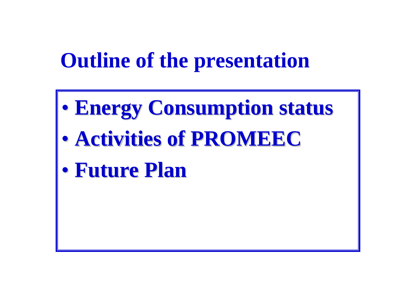### **Outline of the presentation**

- $\bullet$ **Energy Consumption status Energy Consumption status**
- $\bullet$ **Activities of PROMEEC Activities of PROMEEC**
- $\bullet$ **Future Plan Future Plan**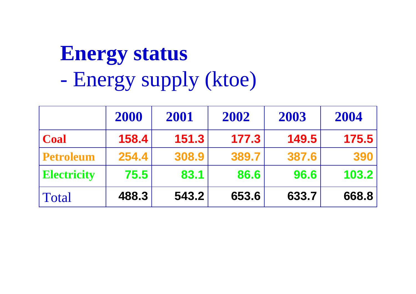# **Energy status** Energy supply (ktoe)

|                    | 2000  | 2001  | 2002  | 2003  | 2004  |
|--------------------|-------|-------|-------|-------|-------|
| <b>Coal</b>        | 158.4 | 151.3 | 177.3 | 149.5 | 175.5 |
| <b>Petroleum</b>   | 254.4 | 308.9 | 389.7 | 387.6 | 390   |
| <b>Electricity</b> | 75.5  | 83.1  | 86.6  | 96.6  | 103.2 |
| Total              | 488.3 | 543.2 | 653.6 | 633.7 | 668.8 |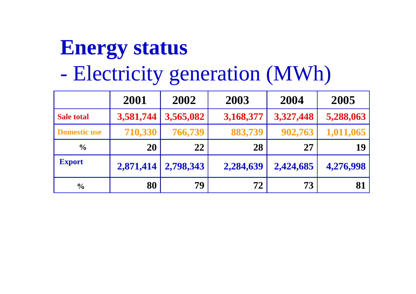## **Energy status** Electricity generation (MWh)

|                     | 2001      | 2002      | 2003      | 2004      | 2005      |
|---------------------|-----------|-----------|-----------|-----------|-----------|
| <b>Sale total</b>   | 3,581,744 | 3,565,082 | 3,168,377 | 3,327,448 | 5,288,063 |
| <b>Domestic use</b> | 710,330   | 766,739   | 883,739   | 902,763   | 1,011,065 |
| $\frac{0}{0}$       | <b>20</b> | 22        | 28        | 27        | 19        |
| <b>Export</b>       | 2,871,414 | 2,798,343 | 2,284,639 | 2,424,685 | 4,276,998 |
| $\frac{0}{0}$       | 80        | 79        | 72        | 73        | 81        |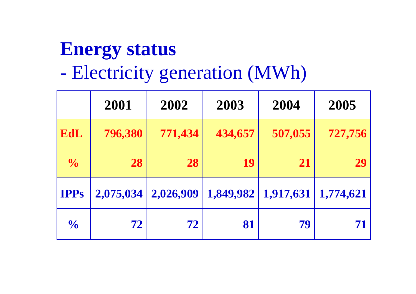#### **Energy status** Electricity generation (MWh)

|               | 2001      | 2002      | 2003      | 2004      | 2005      |
|---------------|-----------|-----------|-----------|-----------|-----------|
| EdL           | 796,380   | 771,434   | 434,657   | 507,055   | 727,756   |
| $\frac{1}{2}$ | 28        | 28        | 19        | 21        | 29        |
| <b>IPPs</b>   | 2,075,034 | 2,026,909 | 1,849,982 | 1,917,631 | 1,774,621 |
| $\frac{1}{2}$ | 72        | 72        | 81        | 79        | 71        |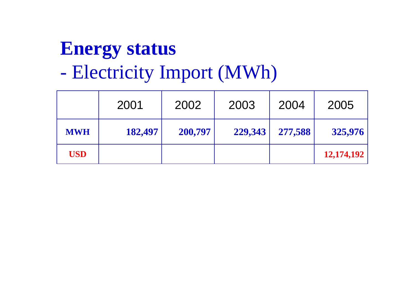### **Energy status** Electricity Import (MWh)

|            | 2001    | 2002    | 2003    | 2004    | 2005       |
|------------|---------|---------|---------|---------|------------|
| <b>MWH</b> | 182,497 | 200,797 | 229,343 | 277,588 | 325,976    |
| <b>USD</b> |         |         |         |         | 12,174,192 |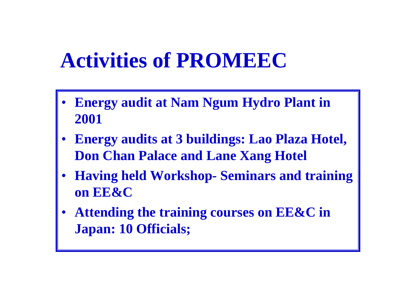#### **Activities of PROMEEC**

- •**Energy audit at Nam Ngum Hydro Plant in 2001**
- • **Energy audits at 3 buildings: Lao Plaza Hotel, Don Chan Palace and Lane Xang Hotel**
- • **Having held Workshop- Seminars and training on EE&C**
- • **Attending the training courses on EE&C in Japan: 10 Officials;**